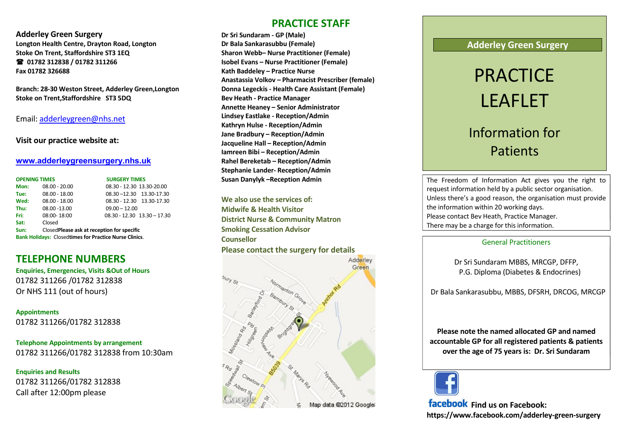Adderley Green Surgery Longton Health Centre, Drayton Road, Longton Stoke On Trent, Staffordshire ST3 1EQ 01782 312838 / 01782 311266 Fax 01782 326688

Branch: 28-30 Weston Street, Adderley Green,Longton Stoke on Trent,Staffordshire ST3 5DQ

Email: adderleygreen@nhs.net

#### Visit our practice website at:

#### www.adderleygreensurgery.nhs.uk

| <b>OPENING TIMES</b>                                          |                                            | <b>SURGERY TIMES</b>            |
|---------------------------------------------------------------|--------------------------------------------|---------------------------------|
| Mon:                                                          | $08.00 - 20.00$                            | 08.30 - 12.30 13.30-20.00       |
| Tue:                                                          | $08.00 - 18.00$                            | 08.30 - 12.30 13.30 - 17.30     |
| Wed:                                                          | $08.00 - 18.00$                            | 08.30 - 12.30 13.30-17.30       |
| Thu:                                                          | 08.00 - 13.00                              | $09.00 - 12.00$                 |
| Fri:                                                          | 08:00-18:00                                | $08.30 - 12.30$ $13.30 - 17.30$ |
| Sat:                                                          | Closed                                     |                                 |
| Sun:                                                          | ClosedPlease ask at reception for specific |                                 |
| <b>Bank Holidays: Closedtimes for Practice Nurse Clinics.</b> |                                            |                                 |

# TELEPHONE NUMBERS

Enquiries, Emergencies, Visits &Out of Hours 01782 311266 /01782 312838 Or NHS 111 (out of hours)

Appointments 01782 311266/01782 312838

Telephone Appointments by arrangement 01782 311266/01782 312838 from 10:30am

Enquiries and Results 01782 311266/01782 312838 Call after 12:00pm please

## PRACTICE STAFF

Dr Sri Sundaram - GP (Male) Dr Bala Sankarasubbu (Female) Sharon Webb– Nurse Practitioner (Female) Isobel Evans – Nurse Practitioner (Female) Kath Baddeley – Practice Nurse Anastassia Volkov – Pharmacist Prescriber (female) Donna Legeckis - Health Care Assistant (Female) Bev Heath - Practice Manager Annette Heaney – Senior Administrator Lindsey Eastlake - Reception/Admin Kathryn Hulse - Reception/Admin Jane Bradbury – Reception/Admin Jacqueline Hall – Reception/Admin Iamreen Bibi – Reception/Admin Rahel Bereketab – Reception/Admin Stephanie Lander- Reception/Admin Susan Danylyk –Reception Admin

We also use the services of: Midwife & Health Visitor District Nurse & Community Matron Smoking Cessation Advisor **Counsellor** Please contact the surgery for details



### Adderley Green Surgery

# PRACTICE LEAFLET

# Information for **Patients**

The Freedom of Information Act gives you the right to request information held by a public sector organisation. Unless there's a good reason, the organisation must provide the information within 20 working days. Please contact Bev Heath, Practice Manager. There may be a charge for this information.

#### General Practitioners

Dr Sri Sundaram MBBS, MRCGP, DFFP, P.G. Diploma (Diabetes & Endocrines)

Dr Bala Sankarasubbu, MBBS, DFSRH, DRCOG, MRCGP

Please note the named allocated GP and named accountable GP for all registered patients & patients over the age of 75 years is: Dr. Sri Sundaram



facebook Find us on Facebook: https://www.facebook.com/adderley-green-surgery